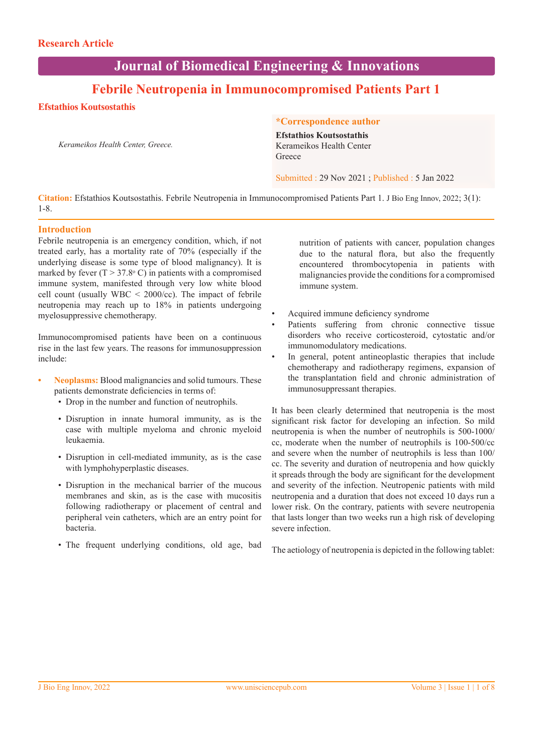# **Journal of Biomedical Engineering & Innovations**

# **Febrile Neutropenia in Immunocompromised Patients Part 1**

# **Efstathios Koutsostathis**

*Kerameikos Health Center, Greece.*

## **\*Correspondence author**

**Efstathios Koutsostathis** Kerameikos Health Center Greece

Submitted : 29 Nov 2021 ; Published : 5 Jan 2022

**Citation:** Efstathios Koutsostathis. Febrile Neutropenia in Immunocompromised Patients Part 1. J Bio Eng Innov, 2022; 3(1): 1-8.

## **Introduction**

Febrile neutropenia is an emergency condition, which, if not treated early, has a mortality rate of 70% (especially if the underlying disease is some type of blood malignancy). It is marked by fever  $(T > 37.8$ °C) in patients with a compromised immune system, manifested through very low white blood cell count (usually  $WBC < 2000$ /cc). The impact of febrile neutropenia may reach up to 18% in patients undergoing myelosuppressive chemotherapy.

Immunocompromised patients have been on a continuous rise in the last few years. The reasons for immunosuppression include:

- **Neoplasms:** Blood malignancies and solid tumours. These patients demonstrate deficiencies in terms of:
	- Drop in the number and function of neutrophils.
	- Disruption in innate humoral immunity, as is the case with multiple myeloma and chronic myeloid leukaemia.
	- Disruption in cell-mediated immunity, as is the case with lymphohyperplastic diseases.
	- Disruption in the mechanical barrier of the mucous membranes and skin, as is the case with mucositis following radiotherapy or placement of central and peripheral vein catheters, which are an entry point for bacteria.
	- The frequent underlying conditions, old age, bad

nutrition of patients with cancer, population changes due to the natural flora, but also the frequently encountered thrombocytopenia in patients with malignancies provide the conditions for a compromised immune system.

- Acquired immune deficiency syndrome
- Patients suffering from chronic connective tissue disorders who receive corticosteroid, cytostatic and/or immunomodulatory medications.
- In general, potent antineoplastic therapies that include chemotherapy and radiotherapy regimens, expansion of the transplantation field and chronic administration of immunosuppressant therapies.

It has been clearly determined that neutropenia is the most significant risk factor for developing an infection. So mild neutropenia is when the number of neutrophils is 500-1000/ cc, moderate when the number of neutrophils is 100-500/cc and severe when the number of neutrophils is less than 100/ cc. The severity and duration of neutropenia and how quickly it spreads through the body are significant for the development and severity of the infection. Neutropenic patients with mild neutropenia and a duration that does not exceed 10 days run a lower risk. On the contrary, patients with severe neutropenia that lasts longer than two weeks run a high risk of developing severe infection.

The aetiology of neutropenia is depicted in the following tablet: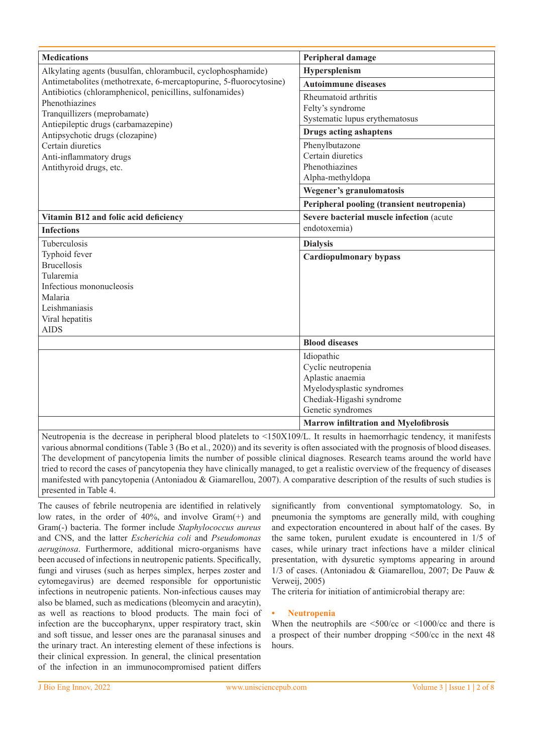| <b>Medications</b>                                                                                         | Peripheral damage                                                                                                                  |  |
|------------------------------------------------------------------------------------------------------------|------------------------------------------------------------------------------------------------------------------------------------|--|
| Alkylating agents (busulfan, chlorambucil, cyclophosphamide)                                               | Hypersplenism                                                                                                                      |  |
| Antimetabolites (methotrexate, 6-mercaptopurine, 5-fluorocytosine)                                         | <b>Autoimmune diseases</b>                                                                                                         |  |
| Antibiotics (chloramphenicol, penicillins, sulfonamides)<br>Phenothiazines<br>Tranquillizers (meprobamate) | Rheumatoid arthritis<br>Felty's syndrome<br>Systematic lupus erythematosus                                                         |  |
| Antiepileptic drugs (carbamazepine)<br>Antipsychotic drugs (clozapine)                                     | <b>Drugs acting ashaptens</b>                                                                                                      |  |
| Certain diuretics<br>Anti-inflammatory drugs<br>Antithyroid drugs, etc.                                    | Phenylbutazone<br>Certain diuretics<br>Phenothiazines<br>Alpha-methyldopa<br>Wegener's granulomatosis                              |  |
|                                                                                                            | Peripheral pooling (transient neutropenia)                                                                                         |  |
| Vitamin B12 and folic acid deficiency                                                                      | Severe bacterial muscle infection (acute                                                                                           |  |
| <b>Infections</b>                                                                                          | endotoxemia)                                                                                                                       |  |
| Tuberculosis                                                                                               | <b>Dialysis</b>                                                                                                                    |  |
| Typhoid fever                                                                                              | <b>Cardiopulmonary bypass</b>                                                                                                      |  |
| <b>Brucellosis</b>                                                                                         |                                                                                                                                    |  |
| Tularemia<br>Infectious mononucleosis                                                                      |                                                                                                                                    |  |
| Malaria                                                                                                    |                                                                                                                                    |  |
| Leishmaniasis                                                                                              |                                                                                                                                    |  |
| Viral hepatitis                                                                                            |                                                                                                                                    |  |
| <b>AIDS</b>                                                                                                |                                                                                                                                    |  |
|                                                                                                            | <b>Blood diseases</b>                                                                                                              |  |
|                                                                                                            | Idiopathic<br>Cyclic neutropenia<br>Aplastic anaemia<br>Myelodysplastic syndromes<br>Chediak-Higashi syndrome<br>Genetic syndromes |  |
|                                                                                                            | <b>Marrow infiltration and Myelofibrosis</b>                                                                                       |  |

Neutropenia is the decrease in peripheral blood platelets to <150X109/L. It results in haemorrhagic tendency, it manifests various abnormal conditions (Table 3 (Bo et al., 2020)) and its severity is often associated with the prognosis of blood diseases. The development of pancytopenia limits the number of possible clinical diagnoses. Research teams around the world have tried to record the cases of pancytopenia they have clinically managed, to get a realistic overview of the frequency of diseases manifested with pancytopenia (Antoniadou & Giamarellou, 2007). A comparative description of the results of such studies is presented in Table 4.

The causes of febrile neutropenia are identified in relatively low rates, in the order of 40%, and involve Gram(+) and Gram(-) bacteria. The former include *Staphylococcus aureus* and CNS, and the latter *Escherichia coli* and *Pseudomonas aeruginosa*. Furthermore, additional micro-organisms have been accused of infections in neutropenic patients. Specifically, fungi and viruses (such as herpes simplex, herpes zoster and cytomegavirus) are deemed responsible for opportunistic infections in neutropenic patients. Non-infectious causes may also be blamed, such as medications (bleomycin and aracytin), as well as reactions to blood products. The main foci of infection are the buccopharynx, upper respiratory tract, skin and soft tissue, and lesser ones are the paranasal sinuses and the urinary tract. An interesting element of these infections is their clinical expression. In general, the clinical presentation of the infection in an immunocompromised patient differs

significantly from conventional symptomatology. So, in pneumonia the symptoms are generally mild, with coughing and expectoration encountered in about half of the cases. By the same token, purulent exudate is encountered in 1/5 of cases, while urinary tract infections have a milder clinical presentation, with dysuretic symptoms appearing in around 1/3 of cases. (Antoniadou & Giamarellou, 2007; De Pauw & Verweij, 2005)

The criteria for initiation of antimicrobial therapy are:

## **• Neutropenia**

When the neutrophils are  $\leq 500$ /cc or  $\leq 1000$ /cc and there is a prospect of their number dropping <500/cc in the next 48 hours.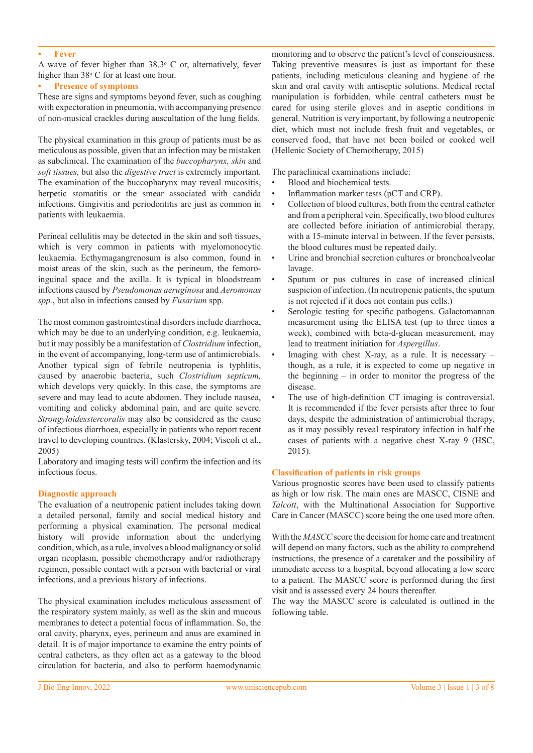#### **Fever**

A wave of fever higher than  $38.3^{\circ}$  C or, alternatively, fever higher than 38° C for at least one hour.

## **Presence of symptoms**

These are signs and symptoms beyond fever, such as coughing with expectoration in pneumonia, with accompanying presence of non-musical crackles during auscultation of the lung fields.

The physical examination in this group of patients must be as meticulous as possible, given that an infection may be mistaken as subclinical. The examination of the *buccopharynx, skin* and *soft tissues,* but also the *digestive tract* is extremely important. The examination of the buccopharynx may reveal mucositis, herpetic stomatitis or the smear associated with candida infections. Gingivitis and periodontitis are just as common in patients with leukaemia.

Perineal cellulitis may be detected in the skin and soft tissues, which is very common in patients with myelomonocytic leukaemia. Ecthymagangrenosum is also common, found in moist areas of the skin, such as the perineum, the femoroinguinal space and the axilla. It is typical in bloodstream infections caused by *Pseudomonas aeruginosa* and *Aeromonas spp.*, but also in infections caused by *Fusarium* spp.

The most common gastrointestinal disorders include diarrhoea, which may be due to an underlying condition, e.g. leukaemia, but it may possibly be a manifestation of *Clostridium* infection, in the event of accompanying, long-term use of antimicrobials. Another typical sign of febrile neutropenia is typhlitis, caused by anaerobic bacteria, such *Clostridium septicum,*  which develops very quickly. In this case, the symptoms are severe and may lead to acute abdomen. They include nausea, vomiting and colicky abdominal pain, and are quite severe. *Strongyloidesstercoralis* may also be considered as the cause of infectious diarrhoea, especially in patients who report recent travel to developing countries. (Klastersky, 2004; Viscoli et al., 2005)

Laboratory and imaging tests will confirm the infection and its infectious focus.

#### **Diagnostic approach**

The evaluation of a neutropenic patient includes taking down a detailed personal, family and social medical history and performing a physical examination. The personal medical history will provide information about the underlying condition, which, as a rule, involves a blood malignancy or solid organ neoplasm, possible chemotherapy and/or radiotherapy regimen, possible contact with a person with bacterial or viral infections, and a previous history of infections.

The physical examination includes meticulous assessment of the respiratory system mainly, as well as the skin and mucous membranes to detect a potential focus of inflammation. So, the oral cavity, pharynx, eyes, perineum and anus are examined in detail. It is of major importance to examine the entry points of central catheters, as they often act as a gateway to the blood circulation for bacteria, and also to perform haemodynamic monitoring and to observe the patient's level of consciousness. Taking preventive measures is just as important for these patients, including meticulous cleaning and hygiene of the skin and oral cavity with antiseptic solutions. Medical rectal manipulation is forbidden, while central catheters must be cared for using sterile gloves and in aseptic conditions in general. Nutrition is very important, by following a neutropenic diet, which must not include fresh fruit and vegetables, or conserved food, that have not been boiled or cooked well (Hellenic Society of Chemotherapy, 2015)

The paraclinical examinations include:

- Blood and biochemical tests.
- Inflammation marker tests (pCT and CRP).
- Collection of blood cultures, both from the central catheter and from a peripheral vein. Specifically, two blood cultures are collected before initiation of antimicrobial therapy, with a 15-minute interval in between. If the fever persists, the blood cultures must be repeated daily.
- Urine and bronchial secretion cultures or bronchoalveolar lavage.
- Sputum or pus cultures in case of increased clinical suspicion of infection. (In neutropenic patients, the sputum is not rejected if it does not contain pus cells.)
- Serologic testing for specific pathogens. Galactomannan measurement using the ELISA test (up to three times a week), combined with beta-d-glucan measurement, may lead to treatment initiation for *Aspergillus*.
- Imaging with chest X-ray, as a rule. It is necessary  $$ though, as a rule, it is expected to come up negative in the beginning  $-$  in order to monitor the progress of the disease.
- The use of high-definition CT imaging is controversial. It is recommended if the fever persists after three to four days, despite the administration of antimicrobial therapy, as it may possibly reveal respiratory infection in half the cases of patients with a negative chest X-ray 9 (HSC, 2015).

#### **Classification of patients in risk groups**

Various prognostic scores have been used to classify patients as high or low risk. The main ones are MASCC, CISNE and *Talcott*, with the Multinational Association for Supportive Care in Cancer (MASCC) score being the one used more often.

With the *MASCC* score the decision for home care and treatment will depend on many factors, such as the ability to comprehend instructions, the presence of a caretaker and the possibility of immediate access to a hospital, beyond allocating a low score to a patient. The MASCC score is performed during the first visit and is assessed every 24 hours thereafter.

The way the MASCC score is calculated is outlined in the following table.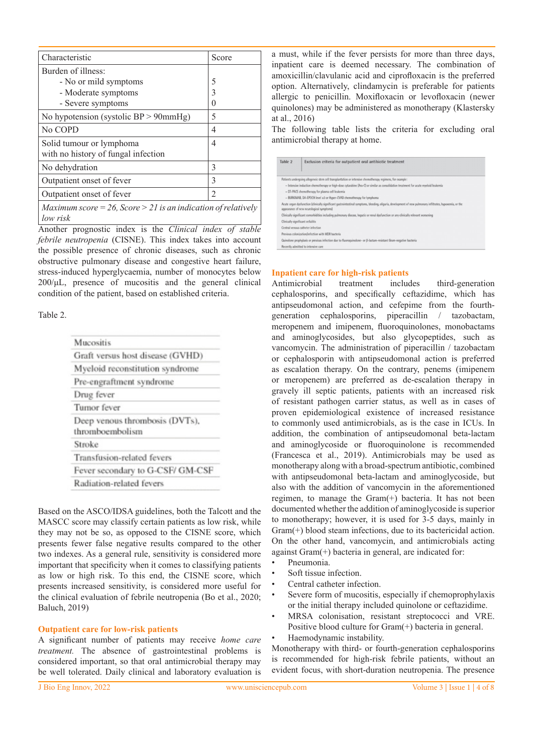| Characteristic                                                  | Score          |  |
|-----------------------------------------------------------------|----------------|--|
| Burden of illness:                                              |                |  |
| - No or mild symptoms                                           | 5              |  |
| - Moderate symptoms                                             | 3              |  |
| - Severe symptoms                                               | 0              |  |
| No hypotension (systolic $BP > 90mmHg$ )                        | 5              |  |
| No COPD                                                         | 4              |  |
| Solid tumour or lymphoma<br>with no history of fungal infection | 4              |  |
| No dehydration                                                  | 3              |  |
| Outpatient onset of fever                                       | 3              |  |
| Outpatient onset of fever                                       | $\mathfrak{D}$ |  |
| Maximum score = 26. Score > 21 is an indication of relatively   |                |  |

*Maximum score = 26, Score > 21 is an indication of relatively low risk*

Another prognostic index is the *Clinical index of stable febrile neutropenia* (CISNE). This index takes into account the possible presence of chronic diseases, such as chronic obstructive pulmonary disease and congestive heart failure, stress-induced hyperglycaemia, number of monocytes below 200/μL, presence of mucositis and the general clinical condition of the patient, based on established criteria.

Table 2.

| Mucositis                                         |  |
|---------------------------------------------------|--|
| Graft versus host disease (GVHD)                  |  |
| Myeloid reconstitution syndrome                   |  |
| Pre-engraftment syndrome                          |  |
| Drug fever                                        |  |
| Tumor fever                                       |  |
| Deep venous thrombosis (DVTs),<br>thromboembolism |  |
| Stroke                                            |  |
| Transfusion-related fevers                        |  |
| Fever secondary to G-CSF/ GM-CSF                  |  |
| Radiation-related fevers                          |  |

Based on the ASCO/IDSA guidelines, both the Talcott and the MASCC score may classify certain patients as low risk, while they may not be so, as opposed to the CISNE score, which presents fewer false negative results compared to the other two indexes. As a general rule, sensitivity is considered more important that specificity when it comes to classifying patients as low or high risk. To this end, the CISNE score, which presents increased sensitivity, is considered more useful for the clinical evaluation of febrile neutropenia (Bo et al., 2020; Baluch, 2019)

#### **Outpatient care for low-risk patients**

A significant number of patients may receive *home care treatment.* The absence of gastrointestinal problems is considered important, so that oral antimicrobial therapy may be well tolerated. Daily clinical and laboratory evaluation is

a must, while if the fever persists for more than three days, inpatient care is deemed necessary. The combination of amoxicillin/clavulanic acid and ciprofloxacin is the preferred option. Alternatively, clindamycin is preferable for patients allergic to penicillin. Moxifloxacin or levofloxacin (newer quinolones) may be administered as monotherapy (Klastersky at al., 2016)

The following table lists the criteria for excluding oral antimicrobial therapy at home.

| Table 2 | Exclusion criteria for outpatient oral antibiotic treatment                                                                                                                                            |
|---------|--------------------------------------------------------------------------------------------------------------------------------------------------------------------------------------------------------|
|         | Patients undergoing allogeneic stem cell transplantation or intensive chemotherapy regimens, for example:                                                                                              |
|         | - Intensive induction chemotherapy or high-dose cytarabine (Ara-C) or similar as consolidation treatment for acute myeloid leukemia                                                                    |
|         | - DT-PACE chemotherapy for plasma cell leukemia                                                                                                                                                        |
|         | - BURKIMAB, DA-EPOCH level 23 or Hyper-CVAD chemotherapy for lymphoma                                                                                                                                  |
|         | Acute organ dysfunction (clinically significant gastrointestinal symptoms, bleeding, oliguria, development of new pulmonary infiltrates, hypoxemia, or the<br>appearance of new neurological symptoms) |
|         | Clinically significant comorbidities including pulmonary disease, hepatic or renal dysfunction or any clinically relevant worsening                                                                    |
|         | Clinically significant cellulitis                                                                                                                                                                      |
|         | Central venous catheter infection                                                                                                                                                                      |
|         | Previous colonization/infection with MDR bacteria                                                                                                                                                      |
|         | Quinolone prophylaxis or previous infection due to fluoroquinolone- or β-lactam-resistant Gram-negative bacteria                                                                                       |
|         | Recently admitted to intensive care                                                                                                                                                                    |

#### **Inpatient care for high-risk patients**

Antimicrobial treatment includes third-generation cephalosporins, and specifically ceftazidime, which has antipseudomonal action, and cefepime from the fourthgeneration cephalosporins, piperacillin / tazobactam, meropenem and imipenem, fluoroquinolones, monobactams and aminoglycosides, but also glycopeptides, such as vancomycin. The administration of piperacillin / tazobactam or cephalosporin with antipseudomonal action is preferred as escalation therapy. On the contrary, penems (imipenem or meropenem) are preferred as de-escalation therapy in gravely ill septic patients, patients with an increased risk of resistant pathogen carrier status, as well as in cases of proven epidemiological existence of increased resistance to commonly used antimicrobials, as is the case in ICUs. In addition, the combination of antipseudomonal beta-lactam and aminoglycoside or fluoroquinolone is recommended (Francesca et al., 2019). Antimicrobials may be used as monotherapy along with a broad-spectrum antibiotic, combined with antipseudomonal beta-lactam and aminoglycoside, but also with the addition of vancomycin in the aforementioned regimen, to manage the Gram(+) bacteria. It has not been documented whether the addition of aminoglycoside is superior to monotherapy; however, it is used for 3-5 days, mainly in Gram(+) blood steam infections, due to its bactericidal action. On the other hand, vancomycin, and antimicrobials acting against Gram(+) bacteria in general, are indicated for:

- Pneumonia.
- Soft tissue infection.
- Central catheter infection.
- Severe form of mucositis, especially if chemoprophylaxis or the initial therapy included quinolone or ceftazidime.
- MRSA colonisation, resistant streptococci and VRE. Positive blood culture for Gram(+) bacteria in general.
- Haemodynamic instability.

Monotherapy with third- or fourth-generation cephalosporins is recommended for high-risk febrile patients, without an evident focus, with short-duration neutropenia. The presence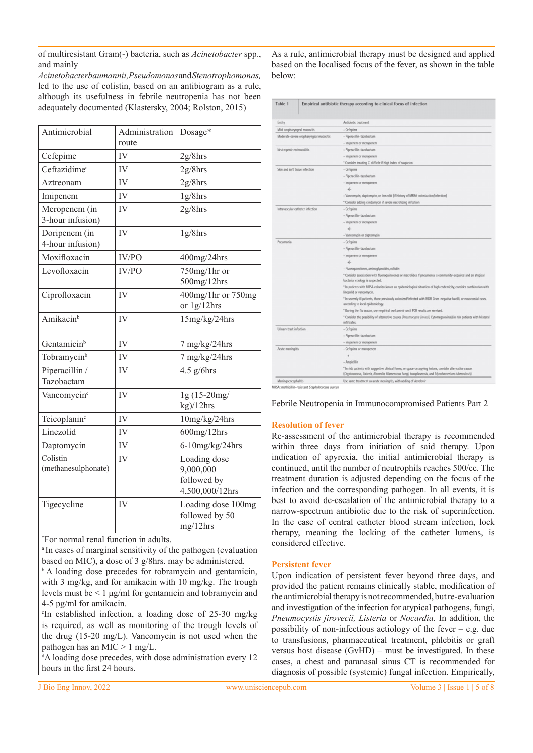of multiresistant Gram(-) bacteria, such as *Acinetobacter* spp*.*, and mainly

*Acinetobacterbaumannii,Pseudomonas* and *Stenotrophomonas,* led to the use of colistin, based on an antibiogram as a rule, although its usefulness in febrile neutropenia has not been adequately documented (Klastersky, 2004; Rolston, 2015)

| Antimicrobial                     | Administration<br>route | Dosage*                                                     |
|-----------------------------------|-------------------------|-------------------------------------------------------------|
| Cefepime                          | IV                      | $2g/8$ hrs                                                  |
| Ceftazidime <sup>a</sup>          | IV                      | $2g/8$ hrs                                                  |
| Aztreonam                         | IV                      | $2g/8$ hrs                                                  |
| Imipenem                          | IV                      | $1g/8$ hrs                                                  |
| Meropenem (in<br>3-hour infusion) | IV                      | $2g/8$ hrs                                                  |
| Doripenem (in<br>4-hour infusion) | IV                      | $1g/8$ hrs                                                  |
| Moxifloxacin                      | IV/PO                   | 400mg/24hrs                                                 |
| Levofloxacin                      | IV/PO                   | 750mg/1hr or<br>500mg/12hrs                                 |
| Ciprofloxacin                     | IV                      | 400mg/1hr or 750mg<br>or $1g/12hrs$                         |
| Amikacin <sup>b</sup>             | IV                      | 15mg/kg/24hrs                                               |
| Gentamicin <sup>b</sup>           | IV                      | 7 mg/kg/24hrs                                               |
| Tobramycin <sup>b</sup>           | IV                      | 7 mg/kg/24hrs                                               |
| Piperacillin /<br>Tazobactam      | IV                      | $4.5$ g/6hrs                                                |
| Vancomycin <sup>c</sup>           | IV                      | $1g(15-20mg/$<br>kg)/12hrs                                  |
| Teicoplanin <sup>c</sup>          | IV                      | 10mg/kg/24hrs                                               |
| Linezolid                         | IV                      | $600$ mg/ $12$ hrs                                          |
| Daptomycin                        | IV                      | $6-10$ mg/kg/24hrs                                          |
| Colistin<br>(methanesulphonate)   | IV                      | Loading dose<br>9,000,000<br>followed by<br>4,500,000/12hrs |
| Tigecycline                       | IV                      | Loading dose 100mg<br>followed by 50<br>mg/12hrs            |

\* For normal renal function in adults.

a In cases of marginal sensitivity of the pathogen (evaluation based on MIC), a dose of 3 g/8hrs. may be administered.

<sup>b</sup> A loading dose precedes for tobramycin and gentamicin, with 3 mg/kg, and for amikacin with 10 mg/kg. The trough levels must be < 1 μg/ml for gentamicin and tobramycin and 4-5 pg/ml for amikacin.

c In established infection, a loading dose of 25-30 mg/kg is required, as well as monitoring of the trough levels of the drug (15-20 mg/L). Vancomycin is not used when the pathogen has an MIC > 1 mg/L.

<sup>d</sup>A loading dose precedes, with dose administration every 12 hours in the first 24 hours.

As a rule, antimicrobial therapy must be designed and applied based on the localised focus of the fever, as shown in the table below:

| Entity                                  | Antibiotic treatment                                                                                                                                                                                               |
|-----------------------------------------|--------------------------------------------------------------------------------------------------------------------------------------------------------------------------------------------------------------------|
|                                         |                                                                                                                                                                                                                    |
| Mild oropharyngeal mucositis            | - Cefepime                                                                                                                                                                                                         |
| Moderate-severe oropharyngeal mucositis | - Piperacillin-tazobactam                                                                                                                                                                                          |
|                                         | - Imipenem or meropenem                                                                                                                                                                                            |
| Neutropenic enterocolitis               | - Piperacillin-tazobactam                                                                                                                                                                                          |
|                                         | - Imipenem or meropenem                                                                                                                                                                                            |
|                                         | * Consider treating C. difficile if high index of suspicion                                                                                                                                                        |
| Skin and soft tissue infection          | - Cefepime                                                                                                                                                                                                         |
|                                         | - Piperacillin-tazobactam                                                                                                                                                                                          |
|                                         | - Imipenem or meropenem                                                                                                                                                                                            |
|                                         | $+/-$                                                                                                                                                                                                              |
|                                         | - Vancomycin, daptomycin, or linezolid (if history of MRSA colonization/infection)                                                                                                                                 |
|                                         | * Consider adding clindamycin if severe necrotizing infection                                                                                                                                                      |
| Intravascular catheter infection        | - Cefepime                                                                                                                                                                                                         |
|                                         | - Piperacillin-tazobactam                                                                                                                                                                                          |
|                                         | - Imipenem or meropenem                                                                                                                                                                                            |
|                                         | $+1-$                                                                                                                                                                                                              |
|                                         | - Vancomycin or daptomycin                                                                                                                                                                                         |
| Pneumonia                               | - Cefepime                                                                                                                                                                                                         |
|                                         | - Piperacillin-tazobactam                                                                                                                                                                                          |
|                                         | - Imipenem or meropenem                                                                                                                                                                                            |
|                                         | $+1$                                                                                                                                                                                                               |
|                                         | - Fluoroquinolones, aminoglycosides, colistin                                                                                                                                                                      |
|                                         | * Consider association with fluoroquinolones or macrolides if pneumonia is community-acquired and an atypical<br>bacterial etiology is suspected.                                                                  |
|                                         | * In patients with MRSA colonization or an epidemiological situation of high endemicity, consider combination with<br>linezolid or vancomycin.                                                                     |
|                                         | * In severely ill patients, those previously colonized/infected with MDR Gram-negative bacilli, or nosocomial cases,<br>according to local epidemiology.                                                           |
|                                         | * During the flu season, use empirical oseltamivir until PCR results are received.                                                                                                                                 |
|                                         | * Consider the possibility of alternative causes [Preumocystis jirovecii, Cytomegalovirus] in risk patients with bilateral<br>infiltrates.                                                                         |
| Urinary tract infection                 | - Cefepime                                                                                                                                                                                                         |
|                                         | - Piperacillin-tazobactam                                                                                                                                                                                          |
|                                         | - Imipenem or meropenem                                                                                                                                                                                            |
| Acute meningitis                        | - Cefepime or meropenem                                                                                                                                                                                            |
|                                         | ٠                                                                                                                                                                                                                  |
|                                         | - Ampicillin                                                                                                                                                                                                       |
|                                         | * In risk patients with suggestive clinical forms, or space-occupying lesions, consider alternative causes<br>(Cryptococcus, Listeria, Nocardia, filamentous fungi, toxoplasmosis, and Mycobacterium tuberculosis) |
| <b>Meningoencephalitis</b>              | Use same treatment as acute meningitis, with adding of Acyclovir                                                                                                                                                   |

Febrile Neutropenia in Immunocompromised Patients Part 2

## **Resolution of fever**

Re-assessment of the antimicrobial therapy is recommended within three days from initiation of said therapy. Upon indication of apyrexia, the initial antimicrobial therapy is continued, until the number of neutrophils reaches 500/cc. The treatment duration is adjusted depending on the focus of the infection and the corresponding pathogen. In all events, it is best to avoid de-escalation of the antimicrobial therapy to a narrow-spectrum antibiotic due to the risk of superinfection. In the case of central catheter blood stream infection, lock therapy, meaning the locking of the catheter lumens, is considered effective.

## **Persistent fever**

Upon indication of persistent fever beyond three days, and provided the patient remains clinically stable, modification of the antimicrobial therapy is not recommended, but re-evaluation and investigation of the infection for atypical pathogens, fungi, *Pneumocystis jirovecii, Listeria* or *Nocardia*. In addition, the possibility of non-infectious aetiology of the fever  $-$  e.g. due to transfusions, pharmaceutical treatment, phlebitis or graft versus host disease (GvHD) – must be investigated. In these cases, a chest and paranasal sinus CT is recommended for diagnosis of possible (systemic) fungal infection. Empirically,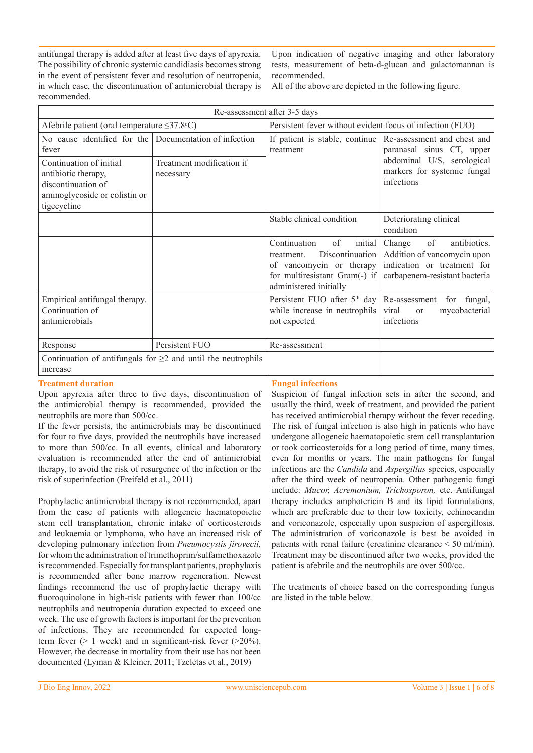antifungal therapy is added after at least five days of apyrexia. The possibility of chronic systemic candidiasis becomes strong in the event of persistent fever and resolution of neutropenia, in which case, the discontinuation of antimicrobial therapy is recommended.

Upon indication of negative imaging and other laboratory tests, measurement of beta-d-glucan and galactomannan is recommended.

All of the above are depicted in the following figure.

| Persistent fever without evident focus of infection (FUO)<br>If patient is stable, continue<br>treatment                                              | Re-assessment and chest and<br>paranasal sinus CT, upper                                                                    |
|-------------------------------------------------------------------------------------------------------------------------------------------------------|-----------------------------------------------------------------------------------------------------------------------------|
|                                                                                                                                                       |                                                                                                                             |
|                                                                                                                                                       |                                                                                                                             |
|                                                                                                                                                       | abdominal U/S, serological<br>markers for systemic fungal<br>infections                                                     |
| Stable clinical condition                                                                                                                             | Deteriorating clinical<br>condition                                                                                         |
| Continuation<br>of<br>initial<br>Discontinuation<br>treatment.<br>of vancomycin or therapy<br>for multiresistant Gram(-) if<br>administered initially | of<br>antibiotics.<br>Change<br>Addition of vancomycin upon<br>indication or treatment for<br>carbapenem-resistant bacteria |
| Persistent FUO after 5 <sup>th</sup> day<br>while increase in neutrophils<br>not expected                                                             | Re-assessment for fungal,<br>mycobacterial<br>viral<br><sub>or</sub><br>infections                                          |
| Re-assessment                                                                                                                                         |                                                                                                                             |
|                                                                                                                                                       |                                                                                                                             |
|                                                                                                                                                       |                                                                                                                             |

## **Treatment duration**

Upon apyrexia after three to five days, discontinuation of the antimicrobial therapy is recommended, provided the neutrophils are more than 500/cc.

If the fever persists, the antimicrobials may be discontinued for four to five days, provided the neutrophils have increased to more than 500/cc. In all events, clinical and laboratory evaluation is recommended after the end of antimicrobial therapy, to avoid the risk of resurgence of the infection or the risk of superinfection (Freifeld et al., 2011)

Prophylactic antimicrobial therapy is not recommended, apart from the case of patients with allogeneic haematopoietic stem cell transplantation, chronic intake of corticosteroids and leukaemia or lymphoma, who have an increased risk of developing pulmonary infection from *Pneumocystis jirovecii,*  for whom the administration of trimethoprim/sulfamethoxazole is recommended. Especially for transplant patients, prophylaxis is recommended after bone marrow regeneration. Newest findings recommend the use of prophylactic therapy with fluoroquinolone in high-risk patients with fewer than 100/cc neutrophils and neutropenia duration expected to exceed one week. The use of growth factors is important for the prevention of infections. They are recommended for expected longterm fever  $(> 1$  week) and in significant-risk fever  $(>20\%)$ . However, the decrease in mortality from their use has not been documented (Lyman & Kleiner, 2011; Tzeletas et al., 2019)

## **Fungal infections**

Suspicion of fungal infection sets in after the second, and usually the third, week of treatment, and provided the patient has received antimicrobial therapy without the fever receding. The risk of fungal infection is also high in patients who have undergone allogeneic haematopoietic stem cell transplantation or took corticosteroids for a long period of time, many times, even for months or years. The main pathogens for fungal infections are the *Candida* and *Αspergillus* species, especially after the third week of neutropenia. Other pathogenic fungi include: *Mucor, Acremonium, Trichosporon,* etc. Antifungal therapy includes amphotericin B and its lipid formulations, which are preferable due to their low toxicity, echinocandin and voriconazole, especially upon suspicion of aspergillosis. The administration of voriconazole is best be avoided in patients with renal failure (creatinine clearance < 50 ml/min). Treatment may be discontinued after two weeks, provided the patient is afebrile and the neutrophils are over 500/cc.

The treatments of choice based on the corresponding fungus are listed in the table below.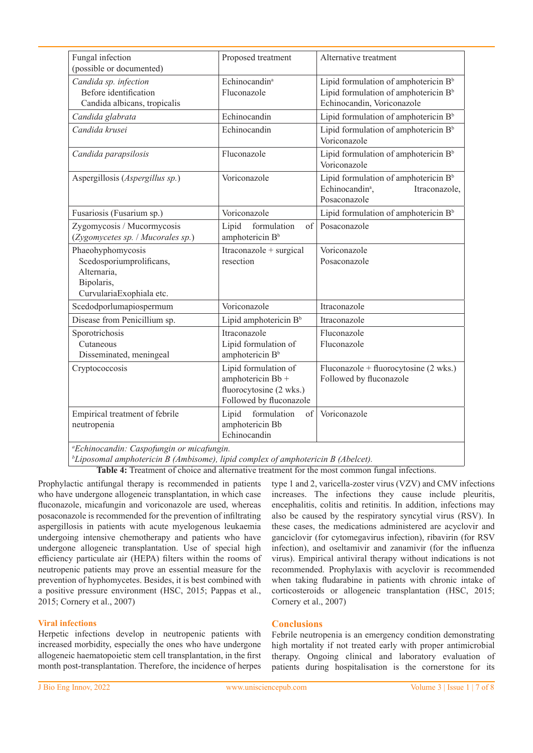| Fungal infection<br>(possible or documented)                                                           | Proposed treatment                                                                              | Alternative treatment                                                                                                              |
|--------------------------------------------------------------------------------------------------------|-------------------------------------------------------------------------------------------------|------------------------------------------------------------------------------------------------------------------------------------|
| Candida sp. infection<br>Before identification<br>Candida albicans, tropicalis                         | Echinocandin <sup>a</sup><br>Fluconazole                                                        | Lipid formulation of amphotericin B <sup>b</sup><br>Lipid formulation of amphotericin B <sup>b</sup><br>Echinocandin, Voriconazole |
| Candida glabrata                                                                                       | Echinocandin                                                                                    | Lipid formulation of amphotericin B <sup>b</sup>                                                                                   |
| Candida krusei                                                                                         | Echinocandin                                                                                    | Lipid formulation of amphotericin B <sup>b</sup><br>Voriconazole                                                                   |
| Candida parapsilosis                                                                                   | Fluconazole                                                                                     | Lipid formulation of amphotericin B <sup>b</sup><br>Voriconazole                                                                   |
| Aspergillosis (Aspergillus sp.)                                                                        | Voriconazole                                                                                    | Lipid formulation of amphotericin B <sup>b</sup><br>Echinocandin <sup>ª</sup> ,<br>Itraconazole,<br>Posaconazole                   |
| Fusariosis (Fusarium sp.)                                                                              | Voriconazole                                                                                    | Lipid formulation of amphotericin B <sup>b</sup>                                                                                   |
| Zygomycosis / Mucormycosis<br>(Zygomycetes sp. / Mucorales sp.)                                        | Lipid<br>formulation<br>of<br>amphotericin B <sup>b</sup>                                       | Posaconazole                                                                                                                       |
| Phaeohyphomycosis<br>Scedosporiumprolificans,<br>Alternaria,<br>Bipolaris,<br>CurvulariaExophiala etc. | Itraconazole + surgical<br>resection                                                            | Voriconazole<br>Posaconazole                                                                                                       |
| Scedodporlumapiospermum                                                                                | Voriconazole                                                                                    | Itraconazole                                                                                                                       |
| Disease from Penicillium sp.                                                                           | Lipid amphotericin B <sup>b</sup>                                                               | Itraconazole                                                                                                                       |
| Sporotrichosis<br>Cutaneous<br>Disseminated, meningeal                                                 | Itraconazole<br>Lipid formulation of<br>amphotericin B <sup>b</sup>                             | Fluconazole<br>Fluconazole                                                                                                         |
| Cryptococcosis                                                                                         | Lipid formulation of<br>amphotericin Bb +<br>fluorocytosine (2 wks.)<br>Followed by fluconazole | Fluconazole + fluorocytosine (2 wks.)<br>Followed by fluconazole                                                                   |
| Empirical treatment of febrile<br>neutropenia<br>$a_0$                                                 | formulation<br>of<br>Lipid<br>amphotericin Bb<br>Echinocandin                                   | Voriconazole                                                                                                                       |

*a Echinocandin: Caspofungin or micafungin.*

*b Liposomal amphotericin B (Ambisome), lipid complex of amphotericin B (Abelcet).*

**Table 4:** Treatment of choice and alternative treatment for the most common fungal infections.

Prophylactic antifungal therapy is recommended in patients who have undergone allogeneic transplantation, in which case fluconazole, micafungin and voriconazole are used, whereas posaconazole is recommended for the prevention of infiltrating aspergillosis in patients with acute myelogenous leukaemia undergoing intensive chemotherapy and patients who have undergone allogeneic transplantation. Use of special high efficiency particulate air (HEPA) filters within the rooms of neutropenic patients may prove an essential measure for the prevention of hyphomycetes. Besides, it is best combined with a positive pressure environment (HSC, 2015; Pappas et al., 2015; Cornery et al., 2007)

## **Viral infections**

Herpetic infections develop in neutropenic patients with increased morbidity, especially the ones who have undergone allogeneic haematopoietic stem cell transplantation, in the first month post-transplantation. Therefore, the incidence of herpes type 1 and 2, varicella-zoster virus (VZV) and CMV infections increases. The infections they cause include pleuritis, encephalitis, colitis and retinitis. In addition, infections may also be caused by the respiratory syncytial virus (RSV). In these cases, the medications administered are acyclovir and ganciclovir (for cytomegavirus infection), ribavirin (for RSV infection), and oseltamivir and zanamivir (for the influenza virus). Empirical antiviral therapy without indications is not recommended. Prophylaxis with acyclovir is recommended when taking fludarabine in patients with chronic intake of corticosteroids or allogeneic transplantation (HSC, 2015; Cornery et al., 2007)

## **Conclusions**

Febrile neutropenia is an emergency condition demonstrating high mortality if not treated early with proper antimicrobial therapy. Ongoing clinical and laboratory evaluation of patients during hospitalisation is the cornerstone for its